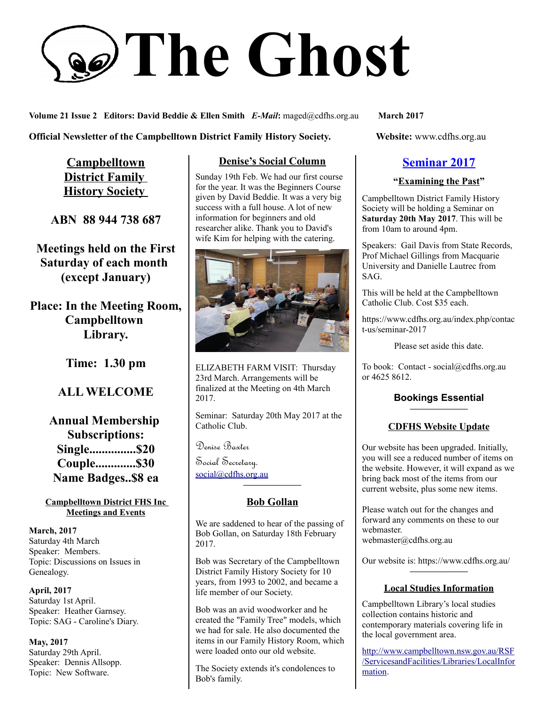# **The Ghost**

**Volume 21 Issue 2 Editors: David Beddie & Ellen Smith** *E-Mail***:** maged@cdfhs.org.au **March 2017**

**Official Newsletter of the Campbelltown District Family History Society. Website: www.cdfhs.org.au** 

**Campbelltown District Family History Society** 

**ABN 88 944 738 687**

**Meetings held on the First Saturday of each month (except January)**

**Place: In the Meeting Room, Campbelltown Library.**

**Time: 1.30 pm**

# **ALL WELCOME**

**Annual Membership Subscriptions: Single...............\$20 Couple.............\$30 Name Badges..\$8 ea**

#### **Campbelltown District FHS Inc Meetings and Events**

**March, 2017** Saturday 4th March Speaker: Members. Topic: Discussions on Issues in Genealogy.

**April, 2017** Saturday 1st April. Speaker: Heather Garnsey. Topic: SAG - Caroline's Diary.

**May, 2017** Saturday 29th April. Speaker: Dennis Allsopp. Topic: New Software.

# **Denise's Social Column**

Sunday 19th Feb. We had our first course for the year. It was the Beginners Course given by David Beddie. It was a very big success with a full house. A lot of new information for beginners and old researcher alike. Thank you to David's wife Kim for helping with the catering.



ELIZABETH FARM VISIT: Thursday 23rd March. Arrangements will be finalized at the Meeting on 4th March 2017.

Seminar: Saturday 20th May 2017 at the Catholic Club.

Denise Baxter

Social Secretary. [social@cdfhs.org.au](mailto:social@cdfhs.org.au)

## **Bob Gollan**

**——————–**

We are saddened to hear of the passing of Bob Gollan, on Saturday 18th February 2017.

Bob was Secretary of the Campbelltown District Family History Society for 10 years, from 1993 to 2002, and became a life member of our Society.

Bob was an avid woodworker and he created the "Family Tree" models, which we had for sale. He also documented the items in our Family History Room, which were loaded onto our old website.

The Society extends it's condolences to Bob's family.

# **Seminar 2017**

## **"Examining the Past"**

Campbelltown District Family History Society will be holding a Seminar on **Saturday 20th May 2017**. This will be from 10am to around 4pm.

Speakers: Gail Davis from State Records, Prof Michael Gillings from Macquarie University and Danielle Lautrec from SAG.

This will be held at the Campbelltown Catholic Club. Cost \$35 each.

https://www.cdfhs.org.au/index.php/contac t-us/seminar-2017

Please set aside this date.

To book: Contact - social@cdfhs.org.au or 4625 8612.

#### **Bookings Essential ——————–**

## **CDFHS Website Update**

Our website has been upgraded. Initially, you will see a reduced number of items on the website. However, it will expand as we bring back most of the items from our current website, plus some new items.

Please watch out for the changes and forward any comments on these to our webmaster. webmaster@cdfhs.org.au

Our website is: https://www.cdfhs.org.au/ **——————–**

#### **Local Studies Information**

Campbelltown Library's local studies collection contains historic and contemporary materials covering life in the local government area.

[http://www.campbelltown.nsw.gov.au/RSF](http://www.campbelltown.nsw.gov.au/RSF/ServicesandFacilities/Libraries/LocalInformation) [/ServicesandFacilities/Libraries/LocalInfor](http://www.campbelltown.nsw.gov.au/RSF/ServicesandFacilities/Libraries/LocalInformation) [mation.](http://www.campbelltown.nsw.gov.au/RSF/ServicesandFacilities/Libraries/LocalInformation)